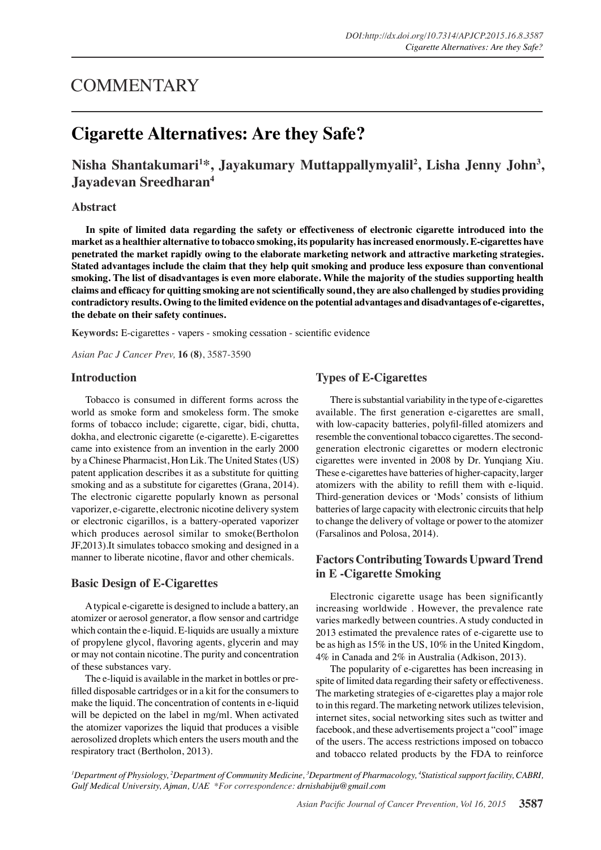# **COMMENTARY**

# **Cigarette Alternatives: Are they Safe?**

## **Nisha Shantakumari<sup>1</sup>\*, Jayakumary Muttappallymyalil<sup>2</sup> , Lisha Jenny John<sup>3</sup> , Jayadevan Sreedharan<sup>4</sup>**

## **Abstract**

**In spite of limited data regarding the safety or effectiveness of electronic cigarette introduced into the market as a healthier alternative to tobacco smoking, its popularity has increased enormously. E-cigarettes have penetrated the market rapidly owing to the elaborate marketing network and attractive marketing strategies. Stated advantages include the claim that they help quit smoking and produce less exposure than conventional smoking. The list of disadvantages is even more elaborate. While the majority of the studies supporting health claims and efficacy for quitting smoking are not scientifically sound, they are also challenged by studies providing contradictory results. Owing to the limited evidence on the potential advantages and disadvantages of e-cigarettes, the debate on their safety continues.**

**Keywords:** E-cigarettes - vapers - smoking cessation - scientific evidence

*Asian Pac J Cancer Prev,* **16 (8)**, 3587-3590

## **Introduction**

Tobacco is consumed in different forms across the world as smoke form and smokeless form. The smoke forms of tobacco include; cigarette, cigar, bidi, chutta, dokha, and electronic cigarette (e-cigarette). E-cigarettes came into existence from an invention in the early 2000 by a Chinese Pharmacist, Hon Lik. The United States (US) patent application describes it as a substitute for quitting smoking and as a substitute for cigarettes (Grana, 2014). The electronic cigarette popularly known as personal vaporizer, e-cigarette, electronic nicotine delivery system or electronic cigarillos, is a battery-operated vaporizer which produces aerosol similar to smoke(Bertholon JF,2013).It simulates tobacco smoking and designed in a manner to liberate nicotine, flavor and other chemicals.

## **Basic Design of E-Cigarettes**

 A typical e-cigarette is designed to include a battery, an atomizer or aerosol generator, a flow sensor and cartridge which contain the e-liquid. E-liquids are usually a mixture of propylene glycol, flavoring agents, glycerin and may or may not contain nicotine. The purity and concentration of these substances vary.

 The e-liquid is available in the market in bottles or prefilled disposable cartridges or in a kit for the consumers to make the liquid. The concentration of contents in e-liquid will be depicted on the label in mg/ml. When activated the atomizer vaporizes the liquid that produces a visible aerosolized droplets which enters the users mouth and the respiratory tract (Bertholon, 2013).

## **Types of E-Cigarettes**

There is substantial variability in the type of e-cigarettes available. The first generation e-cigarettes are small, with low-capacity batteries, polyfil-filled atomizers and resemble the conventional tobacco cigarettes. The secondgeneration electronic cigarettes or modern electronic cigarettes were invented in 2008 by Dr. Yunqiang Xiu. These e-cigarettes have batteries of higher-capacity, larger atomizers with the ability to refill them with e-liquid. Third-generation devices or 'Mods' consists of lithium batteries of large capacity with electronic circuits that help to change the delivery of voltage or power to the atomizer (Farsalinos and Polosa, 2014).

## **Factors Contributing Towards Upward Trend in E -Cigarette Smoking**

Electronic cigarette usage has been significantly increasing worldwide . However, the prevalence rate varies markedly between countries. A study conducted in 2013 estimated the prevalence rates of e-cigarette use to be as high as 15% in the US, 10% in the United Kingdom, 4% in Canada and 2% in Australia (Adkison, 2013).

The popularity of e-cigarettes has been increasing in spite of limited data regarding their safety or effectiveness. The marketing strategies of e-cigarettes play a major role to in this regard. The marketing network utilizes television, internet sites, social networking sites such as twitter and facebook, and these advertisements project a "cool" image of the users. The access restrictions imposed on tobacco and tobacco related products by the FDA to reinforce

*<sup>1</sup>Department of Physiology, <sup>2</sup>Department of Community Medicine, <sup>3</sup>Department of Pharmacology, <sup>4</sup>Statistical support facility, CABRI, Gulf Medical University, Ajman, UAE \*For correspondence: drnishabiju@gmail.com*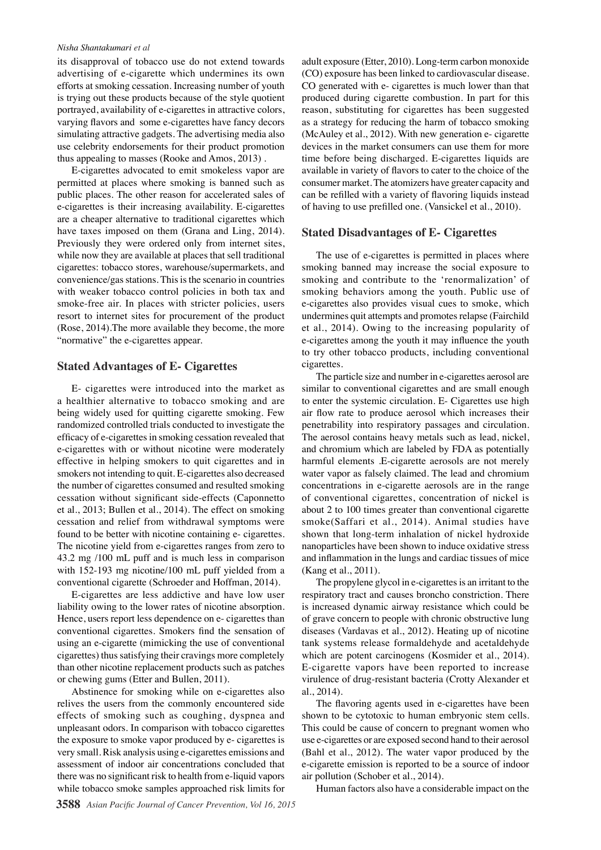#### *Nisha Shantakumari et al*

its disapproval of tobacco use do not extend towards advertising of e-cigarette which undermines its own efforts at smoking cessation. Increasing number of youth is trying out these products because of the style quotient portrayed, availability of e-cigarettes in attractive colors, varying flavors and some e-cigarettes have fancy decors simulating attractive gadgets. The advertising media also use celebrity endorsements for their product promotion thus appealing to masses (Rooke and Amos, 2013) .

E-cigarettes advocated to emit smokeless vapor are permitted at places where smoking is banned such as public places. The other reason for accelerated sales of e-cigarettes is their increasing availability. E-cigarettes are a cheaper alternative to traditional cigarettes which have taxes imposed on them (Grana and Ling, 2014). Previously they were ordered only from internet sites, while now they are available at places that sell traditional cigarettes: tobacco stores, warehouse/supermarkets, and convenience/gas stations. This is the scenario in countries with weaker tobacco control policies in both tax and smoke-free air. In places with stricter policies, users resort to internet sites for procurement of the product (Rose, 2014).The more available they become, the more "normative" the e-cigarettes appear.

### **Stated Advantages of E- Cigarettes**

E- cigarettes were introduced into the market as a healthier alternative to tobacco smoking and are being widely used for quitting cigarette smoking. Few randomized controlled trials conducted to investigate the efficacy of e-cigarettes in smoking cessation revealed that e-cigarettes with or without nicotine were moderately effective in helping smokers to quit cigarettes and in smokers not intending to quit. E-cigarettes also decreased the number of cigarettes consumed and resulted smoking cessation without significant side-effects (Caponnetto et al., 2013; Bullen et al., 2014). The effect on smoking cessation and relief from withdrawal symptoms were found to be better with nicotine containing e- cigarettes. The nicotine yield from e-cigarettes ranges from zero to 43.2 mg /100 mL puff and is much less in comparison with 152-193 mg nicotine/100 mL puff yielded from a conventional cigarette (Schroeder and Hoffman, 2014).

E-cigarettes are less addictive and have low user liability owing to the lower rates of nicotine absorption. Hence, users report less dependence on e- cigarettes than conventional cigarettes. Smokers find the sensation of using an e-cigarette (mimicking the use of conventional cigarettes) thus satisfying their cravings more completely than other nicotine replacement products such as patches or chewing gums (Etter and Bullen, 2011).

Abstinence for smoking while on e-cigarettes also relives the users from the commonly encountered side effects of smoking such as coughing, dyspnea and unpleasant odors. In comparison with tobacco cigarettes the exposure to smoke vapor produced by e- cigarettes is very small. Risk analysis using e-cigarettes emissions and assessment of indoor air concentrations concluded that there was no significant risk to health from e-liquid vapors while tobacco smoke samples approached risk limits for adult exposure (Etter, 2010). Long-term carbon monoxide (CO) exposure has been linked to cardiovascular disease. CO generated with e- cigarettes is much lower than that produced during cigarette combustion. In part for this reason, substituting for cigarettes has been suggested as a strategy for reducing the harm of tobacco smoking (McAuley et al., 2012). With new generation e- cigarette devices in the market consumers can use them for more time before being discharged. E-cigarettes liquids are available in variety of flavors to cater to the choice of the consumer market. The atomizers have greater capacity and can be refilled with a variety of flavoring liquids instead of having to use prefilled one. (Vansickel et al., 2010).

### **Stated Disadvantages of E- Cigarettes**

The use of e-cigarettes is permitted in places where smoking banned may increase the social exposure to smoking and contribute to the 'renormalization' of smoking behaviors among the youth. Public use of e-cigarettes also provides visual cues to smoke, which undermines quit attempts and promotes relapse (Fairchild et al., 2014). Owing to the increasing popularity of e-cigarettes among the youth it may influence the youth to try other tobacco products, including conventional cigarettes.

The particle size and number in e-cigarettes aerosol are similar to conventional cigarettes and are small enough to enter the systemic circulation. E- Cigarettes use high air flow rate to produce aerosol which increases their penetrability into respiratory passages and circulation. The aerosol contains heavy metals such as lead, nickel, and chromium which are labeled by FDA as potentially harmful elements .E-cigarette aerosols are not merely water vapor as falsely claimed. The lead and chromium concentrations in e-cigarette aerosols are in the range of conventional cigarettes, concentration of nickel is about 2 to 100 times greater than conventional cigarette smoke(Saffari et al., 2014). Animal studies have shown that long-term inhalation of nickel hydroxide nanoparticles have been shown to induce oxidative stress and inflammation in the lungs and cardiac tissues of mice (Kang et al., 2011).

The propylene glycol in e-cigarettes is an irritant to the respiratory tract and causes broncho constriction. There is increased dynamic airway resistance which could be of grave concern to people with chronic obstructive lung diseases (Vardavas et al., 2012). Heating up of nicotine tank systems release formaldehyde and acetaldehyde which are potent carcinogens (Kosmider et al., 2014). E-cigarette vapors have been reported to increase virulence of drug-resistant bacteria (Crotty Alexander et al., 2014).

The flavoring agents used in e-cigarettes have been shown to be cytotoxic to human embryonic stem cells. This could be cause of concern to pregnant women who use e-cigarettes or are exposed second hand to their aerosol (Bahl et al., 2012). The water vapor produced by the e-cigarette emission is reported to be a source of indoor air pollution (Schober et al., 2014).

Human factors also have a considerable impact on the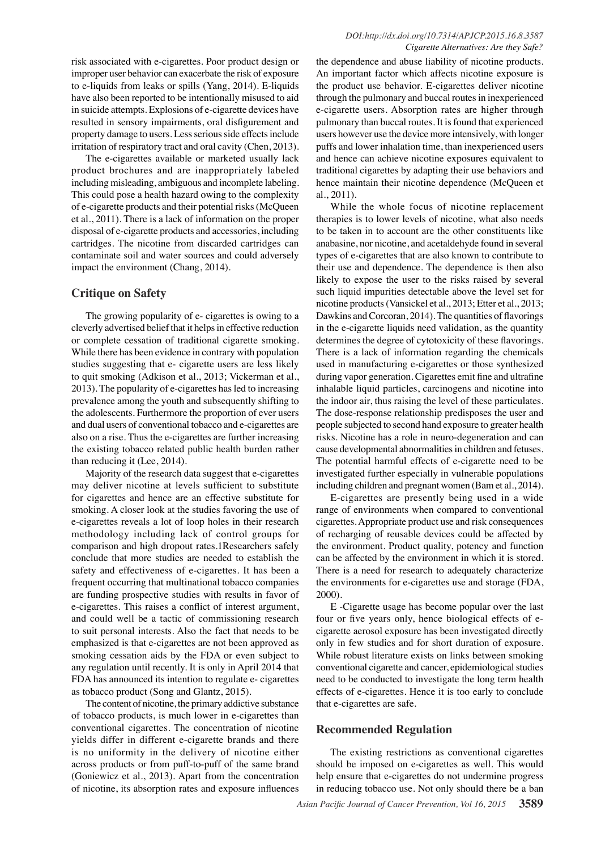risk associated with e-cigarettes. Poor product design or improper user behavior can exacerbate the risk of exposure to e-liquids from leaks or spills (Yang, 2014). E-liquids have also been reported to be intentionally misused to aid in suicide attempts. Explosions of e-cigarette devices have resulted in sensory impairments, oral disfigurement and property damage to users. Less serious side effects include irritation of respiratory tract and oral cavity (Chen, 2013).

The e-cigarettes available or marketed usually lack product brochures and are inappropriately labeled including misleading, ambiguous and incomplete labeling. This could pose a health hazard owing to the complexity of e-cigarette products and their potential risks (McQueen et al., 2011). There is a lack of information on the proper disposal of e-cigarette products and accessories, including cartridges. The nicotine from discarded cartridges can contaminate soil and water sources and could adversely impact the environment (Chang, 2014).

## **Critique on Safety**

The growing popularity of e- cigarettes is owing to a cleverly advertised belief that it helps in effective reduction or complete cessation of traditional cigarette smoking. While there has been evidence in contrary with population studies suggesting that e- cigarette users are less likely to quit smoking (Adkison et al., 2013; Vickerman et al., 2013). The popularity of e-cigarettes has led to increasing prevalence among the youth and subsequently shifting to the adolescents. Furthermore the proportion of ever users and dual users of conventional tobacco and e-cigarettes are also on a rise. Thus the e-cigarettes are further increasing the existing tobacco related public health burden rather than reducing it (Lee, 2014).

Majority of the research data suggest that e-cigarettes may deliver nicotine at levels sufficient to substitute for cigarettes and hence are an effective substitute for smoking. A closer look at the studies favoring the use of e-cigarettes reveals a lot of loop holes in their research methodology including lack of control groups for comparison and high dropout rates.1Researchers safely conclude that more studies are needed to establish the safety and effectiveness of e-cigarettes. It has been a frequent occurring that multinational tobacco companies are funding prospective studies with results in favor of e-cigarettes. This raises a conflict of interest argument, and could well be a tactic of commissioning research to suit personal interests. Also the fact that needs to be emphasized is that e-cigarettes are not been approved as smoking cessation aids by the FDA or even subject to any regulation until recently. It is only in April 2014 that FDA has announced its intention to regulate e- cigarettes as tobacco product (Song and Glantz, 2015).

The content of nicotine, the primary addictive substance of tobacco products, is much lower in e-cigarettes than conventional cigarettes. The concentration of nicotine yields differ in different e-cigarette brands and there is no uniformity in the delivery of nicotine either across products or from puff-to-puff of the same brand (Goniewicz et al., 2013). Apart from the concentration of nicotine, its absorption rates and exposure influences

the dependence and abuse liability of nicotine products. An important factor which affects nicotine exposure is the product use behavior. E-cigarettes deliver nicotine through the pulmonary and buccal routes in inexperienced e-cigarette users. Absorption rates are higher through pulmonary than buccal routes. It is found that experienced users however use the device more intensively, with longer puffs and lower inhalation time, than inexperienced users and hence can achieve nicotine exposures equivalent to traditional cigarettes by adapting their use behaviors and hence maintain their nicotine dependence (McQueen et al., 2011).

While the whole focus of nicotine replacement therapies is to lower levels of nicotine, what also needs to be taken in to account are the other constituents like anabasine, nor nicotine, and acetaldehyde found in several types of e-cigarettes that are also known to contribute to their use and dependence. The dependence is then also likely to expose the user to the risks raised by several such liquid impurities detectable above the level set for nicotine products (Vansickel et al., 2013; Etter et al., 2013; Dawkins and Corcoran, 2014). The quantities of flavorings in the e-cigarette liquids need validation, as the quantity determines the degree of cytotoxicity of these flavorings. There is a lack of information regarding the chemicals used in manufacturing e-cigarettes or those synthesized during vapor generation. Cigarettes emit fine and ultrafine inhalable liquid particles, carcinogens and nicotine into the indoor air, thus raising the level of these particulates. The dose-response relationship predisposes the user and people subjected to second hand exposure to greater health risks. Nicotine has a role in neuro-degeneration and can cause developmental abnormalities in children and fetuses. The potential harmful effects of e-cigarette need to be investigated further especially in vulnerable populations including children and pregnant women (Bam et al., 2014).

E-cigarettes are presently being used in a wide range of environments when compared to conventional cigarettes. Appropriate product use and risk consequences of recharging of reusable devices could be affected by the environment. Product quality, potency and function can be affected by the environment in which it is stored. There is a need for research to adequately characterize the environments for e-cigarettes use and storage (FDA, 2000).

E -Cigarette usage has become popular over the last four or five years only, hence biological effects of ecigarette aerosol exposure has been investigated directly only in few studies and for short duration of exposure. While robust literature exists on links between smoking conventional cigarette and cancer, epidemiological studies need to be conducted to investigate the long term health effects of e-cigarettes. Hence it is too early to conclude that e-cigarettes are safe.

## **Recommended Regulation**

The existing restrictions as conventional cigarettes should be imposed on e-cigarettes as well. This would help ensure that e-cigarettes do not undermine progress in reducing tobacco use. Not only should there be a ban